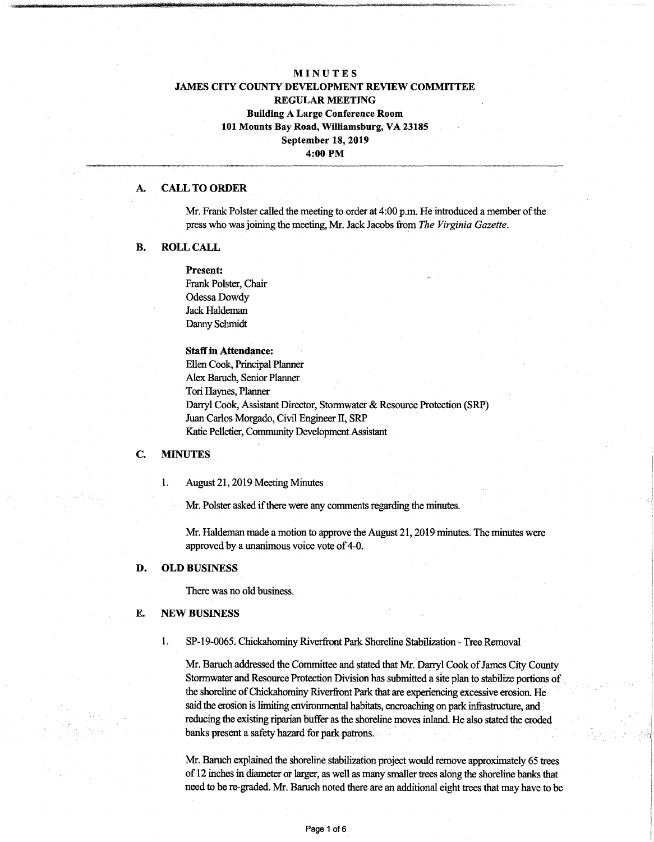# **MINUTES JAMES CITY COUNTY DEVELOPMENT REVIEW COMMITTEE REGULAR MEETING Building A Large Conference Room 101 Mounts Bay Road, Williamsburg, VA 23185 September 18, 2019 4:00 PM**

#### **A. CALL TO ORDER**

Mr. Frank Polster called the meeting to order at 4:00 p.m. He introduced a member of the press who wasjoining the meeting, Mr. Jack Jacobs from *The Virginia Gazette.*

### **B. ROLL CALL**

**Present:** Frank Polster, Chair Odessa Dowdy Jack Haldeman Danny Schmidt

#### **Staffin Attendance:**

Ellen Cook, Principal Planner Alex Baruch, Senior Planner Tori Haynes, Planner Darryl Cook, Assistant Director, Stormwater & Resource Protection (SRP) Juan Carlos Morgado, Civil Engineer II, SRP Katie Pelletier, Community Development Assistant

#### **C. MINUTES**

1. August 21,2019 Meeting Minutes

Mr. Polster asked if there were any comments regarding the minutes.

Mr. Haldeman made a motion to approve the August 21, 2019 minutes. The minutes were approved by a unanimous voice vote of 4-0.

### D. **OLD BUSINESS**

There was no old business.

## E. **NEW** BUSINESS

1. SP-19-0065. Chickahominy Riverfront Park Shoreline Stabilization - Tree Removal

Mr. Baruch addressed the Committee and stated that Mr. Darryl Cook of James City County Stormwater and Resource Protection Division has submitted a site plan to stabilize portions of the shoreline of Chickahominy Riverfront Park that are experiencing excessive erosion. He said the erosion is limiting environmental habitats, encroaching on park infrastructure, and reducing the existing riparian buffer as the shoreline moves inland. He also stated the eroded banks present a safety hazard for park patrons.

Mr. Baruch explained the shoreline stabilization project would remove approximately 65 trees of 12 inches in diameter or larger, as well as many smaller trees along the shoreline banks that need to be re-graded. Mr. Baruch noted there are an additional eight trees that may have to be

**L**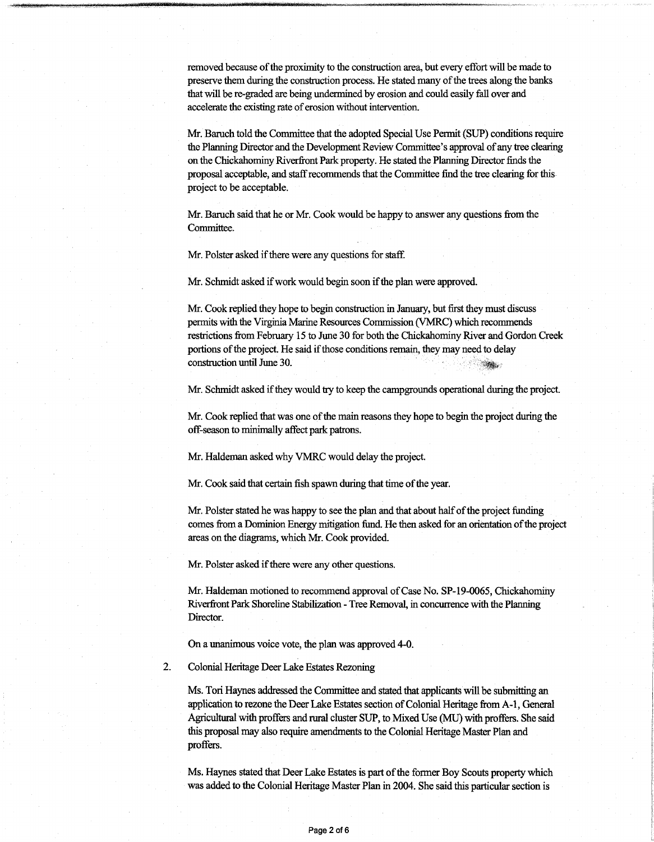removed because ofthe proximity to the construction area, but every effort will be made to preserve them during the construction process. He stated many of the trees along the banks thatwill be re-graded are being undermined by erosion and could easily fall over and accelerate the existing rate of erosion without intervention.

Mr. Baruch told the Committee that the adopted Special Use Permit (SUP) conditions require the Planning Director and the Development Review Committee's approval of any tree clearing on the Chickahominy Riverfront Park property. He stated the Planning Director finds the proposal acceptable, and staff recommends that the Committee find the tree clearing for this project to be acceptable.

Mr. Baruch said that he or Mr. Cook would be happy to answer any questions from the Committee.

Mr. Polster asked if there were any questions for staff.

Mr. Schmidt asked if work would begin soon if the plan were approved.

Mr. Cook replied they hope to begin construction in January, but first they must discuss permits with the Virginia Marine Resources Commission (VMRC) which recommends restrictions from February 15 to June 30 for both the Chickahominy River and Gordon Creek portions of the project. He said if those conditions remain, they may need to delay construction until June 30.

Mr. Schmidt asked ifthey would try to keep the campgrounds operational during the project.

Mr. Cook replied that was one ofthe main reasons they hope to begin the project during the off-season to minimally affect park patrons.

Mr. Haldeman asked why VMRC would delay the project.

Mr. Cook said that certain fish spawn during that time of the year.

Mr. Polster stated he was happy to see the plan and that about half of the project funding comes from a Dominion Energy mitigation fund. He then asked for an orientation of the project areas on the diagrams, which Mr. Cook provided.

Mr. Polster asked if there were any other questions.

Mr. Haldeman motioned to recommend approval of Case No. SP-19-0065, Chickahominy Riverfront Park Shoreline Stabilization - Tree Removal, in concurrence with the Planning Director.

On a unanimous voice vote, the plan was approved 4-0.

Colonial Heritage Deer Lake Estates Rezoning 2.

> Ms. Tori Haynes addressed the Committee and stated that applicants will be submitting an application to rezone the Deer Lake Estates section of Colonial Heritage from A-1, General Agricultural with proffers and rural cluster SUP, to Mixed Use (MU) with proffers. She said this proposal may also require amendments to the Colonial Heritage Master Plan and proffers.

> Ms. Haynes stated that Deer Lake Estates is part of the former Boy Scouts property which was added to the Colonial Heritage Master Plan in 2004. She said this particular section is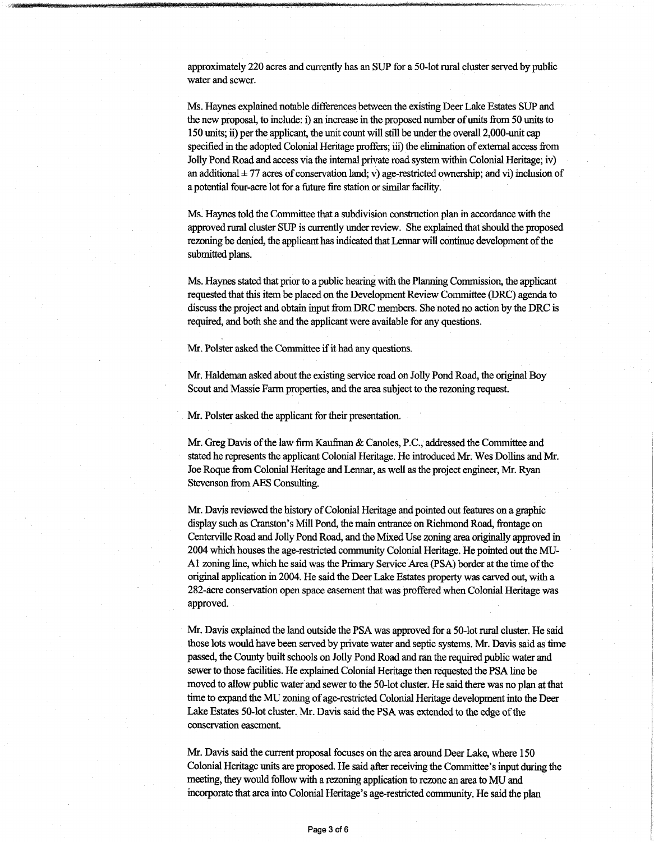approximately 220 acres and currently has an SUP for a 50-lot rural cluster served by public water and sewer.

Ms. Haynes explained notable differences between the existing Deer Lake Estates SUP and the new proposal, to include: i) an increase in the proposed number of units from 50 units to 150 units; ii) perthe applicant, the unit count will still be underthe overall 2,000-unit cap specified in the adopted Colonial Heritage proffers; iii) the elimination of external access from Jolly Pond Road and access via the internal private road system within Colonial Heritage; iv) an additional  $\pm$  77 acres of conservation land; v) age-restricted ownership; and vi) inclusion of apotential four-acre lot for a future fire station or similar facility.

Ms. Haynes told the Committee that a subdivision construction plan in accordance with the approved rural cluster SUP is currently underreview. She explained thatshould the proposed rezoning be denied, the applicant has indicated that Lennar will continue development of the submitted plans.

Ms. Haynes stated that prior to a public hearing with the Planning Commission, the applicant requested that this item be placed on the Development Review Committee (DRC) agenda to discussthe project and obtain input from DRC members. She noted no action by the DRC is required, and both she and the applicant were available for any questions.

Mr. Polster asked the Committee if it had any questions.

Mr. Haldeman asked about the existing service road on Jolly Pond Road, the original Boy Scout and Massie Farm properties, and the area subject to the rezoning request.

Mr. Polster asked the applicant for their presentation.

Mr. Greg Davis of the law firm Kaufman & Canoles, P.C., addressed the Committee and stated he represents the applicant Colonial Heritage. He introduced Mr. Wes Dollins and Mr. Joe Roque from Colonial Heritage and Lennar, as well as the project engineer, Mr. Ryan Stevenson fromAES Consulting.

Mr. Davis reviewed the history of Colonial Heritage and pointed out features on a graphic display such as Cranston's Mill Pond, the main entrance on Richmond Road, frontage on Centerville Road and Jolly Pond Road, and the MixedUse zoning area originally approved in 2004 which houses the age-restricted community Colonial Heritage. He pointed out the MU-A1 zoning line, which he saidwas the Primary Service Area (PSA) border atthe time ofthe original application in 2004. He said the Deer Lake Estates propertywas carved out, with a 282-acre conservation open space easement that was proffered when Colonial Heritage was approved.

Mr. Davis explained the land outside the PSA was approved for a 50-lot rural cluster. He said those lots would have been served by private water and septic systems. Mr. Davis said as time passed, the County built schools on Jolly Pond Road and ran the required public water and sewer to those facilities. He explained Colonial Heritage then requested the PSA line be moved to allow public water and sewer to the 50-lot cluster. He said there was no plan atthat time to expand the MU zoning of age-restricted Colonial Heritage development into the Deer Lake Estates 50-lot cluster. Mr. Davis said the PSA was extended to the edge of the conservation easement.

Mr. Davis said the current proposal focuses on the area around Deer Lake, where 150 Colonial Heritage units are proposed. He said afterreceiving the Committee's input during the meeting, they would follow with a rezoning application to rezone an area to MU and incorporate that area into Colonial Heritage's age-restricted community. He said the plan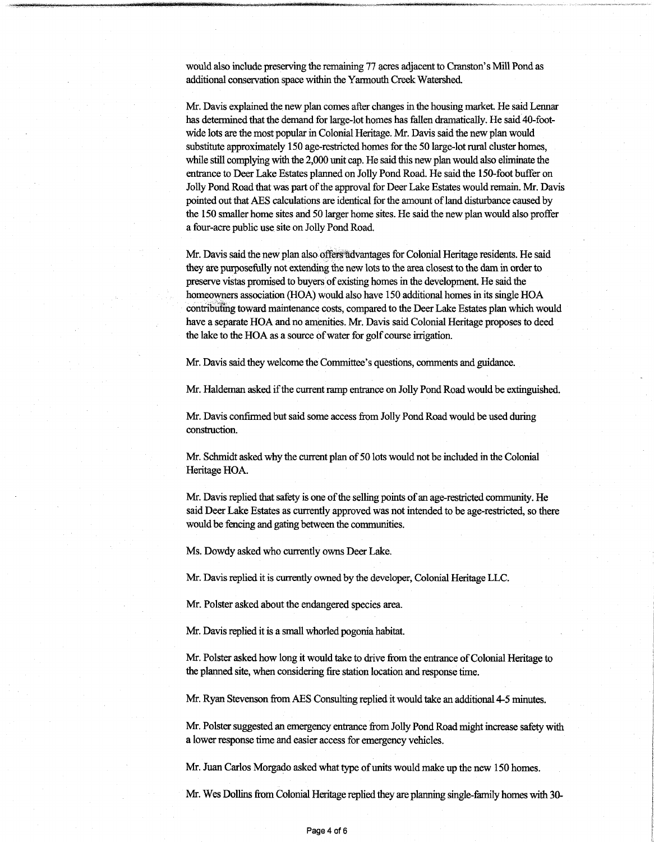would also include preserving die remaining 77 acres adjacentto Cranston's Mill Pond as additional conservation space within the Yarmouth Creek Watershed.

Mr. Davis explained the newplan comes after changes in the housing market. He said Lennar has determined that the demand for large-lot homes has fallen dramatically. He said 40-footwide lots are the most popular in Colonial Heritage. Mr. Davis said the newplan would substitute approximately 150 age-restricted homes for the 50 large-lotrural cluster homes, while still complying with the 2,000 unit cap. He said this new plan would also eliminate the entrance to Deer Lake Estates planned on Jolly Pond Road. He said the 150-foot buffer on Jolly Pond Road that was part of the approval for Deer Lake Estates would remain. Mr. Davis pointed out that AES calculations are identical for the amount of land disturbance caused by the 150 smaller home sites and 50 larger home sites. He said the new plan would also proffer a four-acre public use site on Jolly Pond Road.

Mr. Davis said the newplan also offers advantages for Colonial Heritage residents. He said they are purposefully not extending the new lots to the area closest to the dam in order to preserve vistas promised to buyers ofexisting homes in the development. He said the homeowners association (HOA) would also have 150 additional homes in its single HOA contributing toward maintenance costs, compared to the DeerLake Estates plan which would have a separate HOA and no amenities. Mr. Davis said Colonial Heritage proposes to deed the lake to the HOA as a source of water for golf course irrigation.

Mr. Davis said they welcome the Committee's questions, comments and guidance.

Mr. Haldeman asked if the current ramp entrance on Jolly Pond Road would be extinguished.

Mr. Davis confirmed but said some access from Jolly Pond Road would be used during construction.

Mr. Schmidt asked why the current plan of 50 lots would not be included in the Colonial Heritage HOA.

Mr. Davis replied that safety is one of the selling points of an age-restricted community. He said Deer Lake Estates as currently approved was notintended to be age-restricted, so there would be fencing and gating between the communities.

Ms. Dowdy asked who currently owns Deer Lake.

Mr. Davis replied it is currently owned by the developer, Colonial Heritage LLC.

Mr. Polster asked about the endangered species area.

Mr. Davis replied it is a small whorled pogonia habitat.

Mr. Polster asked how long it would take to drive from the entrance of Colonial Heritage to the planned site, when considering fire station location and response time.

Mr. Ryan Stevenson fromAES Consulting replied itwould take an additional 4-5 minutes.

Mr. Polster suggested an emergency entrance from Jolly Pond Road might increase safety with a lower response time and easier access for emergency vehicles.

Mr. Juan Carlos Morgado asked what type of units would make up the new 150 homes.

Mr. Wes Dollins from Colonial Heritage replied they are planning single-family homes with 30-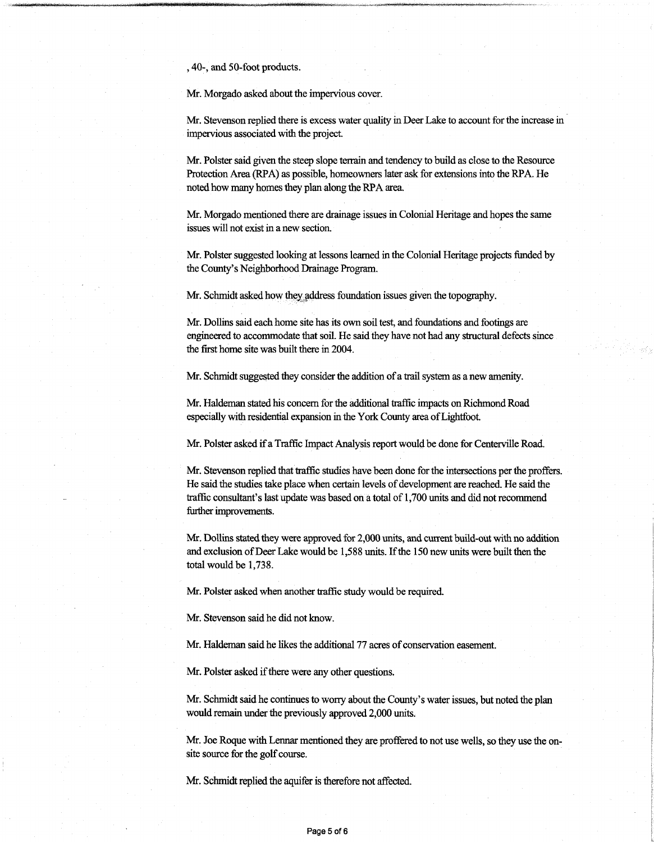, 40-, and 50-foot products.

Mr. Morgado asked about the impervious cover.

Mr. Stevenson replied there is excess water quality in Deer Lake to account forthe increase in impervious associated with the project.

Mr. Polster said given the steep slope terrain and tendency to build as close to the Resource Protection Area (RPA) as possible, homeowners later ask for extensions into the RPA. He noted how many homes they plan along the RPA area.

Mr. Morgado mentioned there are drainage issues in Colonial Heritage and hopes the same issues will not exist in a new section.

Mr. Polster suggested looking at lessons learned in the Colonial Heritage projects funded by the County's Neighborhood Drainage Program.

Mr. Schmidt asked how they address foundation issues given the topography.

Mr. Dollins said each home site has its own soil test, and foundations and footings are engineered to accommodate that soil. He said they have not had any structural defects since the first home site was built there in 2004.

Mr. Schmidt suggested they consider the addition of a trail system as a new amenity.

Mr. Haldeman stated his concern for the additional traffic impacts on Richmond Road especially with residential expansion in the York County area of Lightfoot.

Mr. Polster asked if a Traffic Impact Analysis report would be done for Centerville Road.

Mr. Stevenson replied that traffic studies have been done for the intersections per the proffers. He said the studies take place when certain levels of development are reached. He said the traffic consultant's last update was based on a total of 1,700 units and did notrecommend further improvements.

Mr. Dollins stated they were approved for 2,000 units, and current build-out with no addition and exclusion of Deer Lake would be 1,588 units. If the 150 new units were built then the total would be 1,738.

Mr. Polster asked when another traffic study would be required.

Mr. Stevenson said he did not know.

Mr. Haldeman said he likes the additional 77 acres of conservation easement.

Mr. Polster asked if there were any other questions.

Mr. Schmidt said he continues to worry about the County's water issues, but noted the plan would remain under the previously approved 2,000 units.

Mr. Joe Roque with Lennar mentioned they are proffered to not use wells, so they use the onsite source for the golf course.

Mr. Schmidt replied the aquifer is therefore not affected.